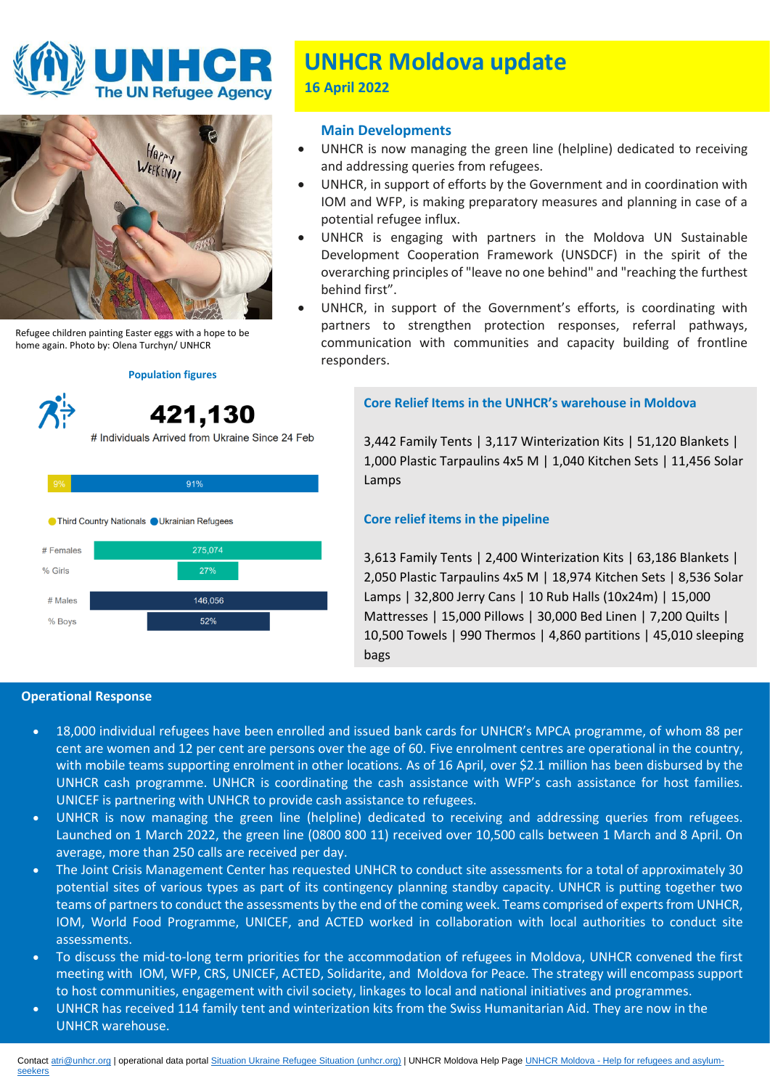



Refugee children painting Easter eggs with a hope to be home again. Photo by: Olena Turchyn/ UNHCR

# **Population figures**

421,130 # Individuals Arrived from Ukraine Since 24 Feb



# **UNHCR Moldova update**

**16 April 2022**

# **Main Developments**

- UNHCR is now managing the green line (helpline) dedicated to receiving and addressing queries from refugees.
- UNHCR, in support of efforts by the Government and in coordination with IOM and WFP, is making preparatory measures and planning in case of a potential refugee influx.
- UNHCR is engaging with partners in the Moldova UN Sustainable Development Cooperation Framework (UNSDCF) in the spirit of the overarching principles of "leave no one behind" and "reaching the furthest behind first".
- UNHCR, in support of the Government's efforts, is coordinating with partners to strengthen protection responses, referral pathways, communication with communities and capacity building of frontline responders.

# **Core Relief Items in the UNHCR's warehouse in Moldova**

3,442 Family Tents | 3,117 Winterization Kits | 51,120 Blankets | 1,000 Plastic Tarpaulins 4x5 M | 1,040 Kitchen Sets | 11,456 Solar Lamps

# **Core relief items in the pipeline**

3,613 Family Tents | 2,400 Winterization Kits | 63,186 Blankets | 2,050 Plastic Tarpaulins 4x5 M | 18,974 Kitchen Sets | 8,536 Solar Lamps | 32,800 Jerry Cans | 10 Rub Halls (10x24m) | 15,000 Mattresses | 15,000 Pillows | 30,000 Bed Linen | 7,200 Quilts | 10,500 Towels | 990 Thermos | 4,860 partitions | 45,010 sleeping bags

## **Operational Response**

- 18,000 individual refugees have been enrolled and issued bank cards for UNHCR's MPCA programme, of whom 88 per cent are women and 12 per cent are persons over the age of 60. Five enrolment centres are operational in the country, with mobile teams supporting enrolment in other locations. As of 16 April, over \$2.1 million has been disbursed by the UNHCR cash programme. UNHCR is coordinating the cash assistance with WFP's cash assistance for host families. UNICEF is partnering with UNHCR to provide cash assistance to refugees.
- UNHCR is now managing the green line (helpline) dedicated to receiving and addressing queries from refugees. Launched on 1 March 2022, the green line (0800 800 11) received over 10,500 calls between 1 March and 8 April. On average, more than 250 calls are received per day.
- The Joint Crisis Management Center has requested UNHCR to conduct site assessments for a total of approximately 30 potential sites of various types as part of its contingency planning standby capacity. UNHCR is putting together two teams of partners to conduct the assessments by the end of the coming week. Teams comprised of experts from UNHCR, IOM, World Food Programme, UNICEF, and ACTED worked in collaboration with local authorities to conduct site assessments.
- To discuss the mid-to-long term priorities for the accommodation of refugees in Moldova, UNHCR convened the first meeting with IOM, WFP, CRS, UNICEF, ACTED, Solidarite, and Moldova for Peace. The strategy will encompass support to host communities, engagement with civil society, linkages to local and national initiatives and programmes.
- UNHCR has received 114 family tent and winterization kits from the Swiss Humanitarian Aid. They are now in the UNHCR warehouse.